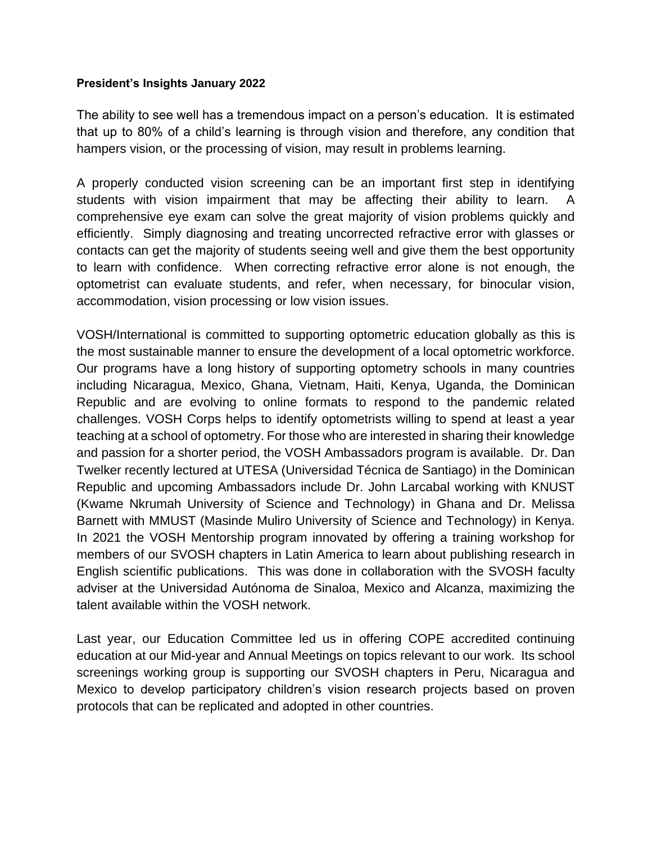## **President's Insights January 2022**

The ability to see well has a tremendous impact on a person's education. It is estimated that up to 80% of a child's learning is through vision and therefore, any condition that hampers vision, or the processing of vision, may result in problems learning.

A properly conducted vision screening can be an important first step in identifying students with vision impairment that may be affecting their ability to learn. A comprehensive eye exam can solve the great majority of vision problems quickly and efficiently. Simply diagnosing and treating uncorrected refractive error with glasses or contacts can get the majority of students seeing well and give them the best opportunity to learn with confidence. When correcting refractive error alone is not enough, the optometrist can evaluate students, and refer, when necessary, for binocular vision, accommodation, vision processing or low vision issues.

VOSH/International is committed to supporting optometric education globally as this is the most sustainable manner to ensure the development of a local optometric workforce. Our programs have a long history of supporting optometry schools in many countries including Nicaragua, Mexico, Ghana, Vietnam, Haiti, Kenya, Uganda, the Dominican Republic and are evolving to online formats to respond to the pandemic related challenges. VOSH Corps helps to identify optometrists willing to spend at least a year teaching at a school of optometry. For those who are interested in sharing their knowledge and passion for a shorter period, the VOSH Ambassadors program is available. Dr. Dan Twelker recently lectured at UTESA (Universidad Técnica de Santiago) in the Dominican Republic and upcoming Ambassadors include Dr. John Larcabal working with KNUST (Kwame Nkrumah University of Science and Technology) in Ghana and Dr. Melissa Barnett with MMUST (Masinde Muliro University of Science and Technology) in Kenya. In 2021 the VOSH Mentorship program innovated by offering a training workshop for members of our SVOSH chapters in Latin America to learn about publishing research in English scientific publications. This was done in collaboration with the SVOSH faculty adviser at the Universidad Autónoma de Sinaloa, Mexico and Alcanza, maximizing the talent available within the VOSH network.

Last year, our Education Committee led us in offering COPE accredited continuing education at our Mid-year and Annual Meetings on topics relevant to our work. Its school screenings working group is supporting our SVOSH chapters in Peru, Nicaragua and Mexico to develop participatory children's vision research projects based on proven protocols that can be replicated and adopted in other countries.